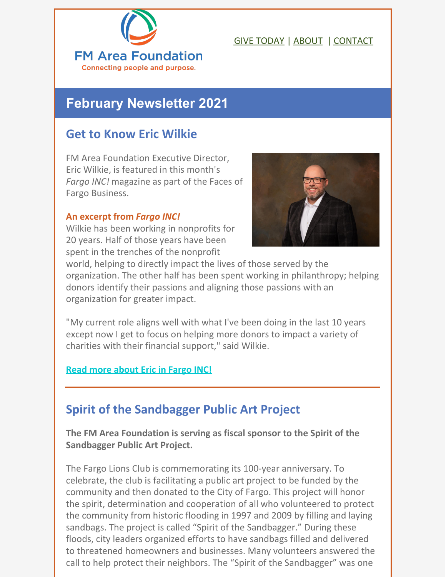

### GIVE [TODAY](https://areafoundation.org/donors-fundholders/give-today/) | [ABOUT](https://areafoundation.org/about-us/) | [CONTACT](https://areafoundation.org/contact-us/)

# **February Newsletter 2021**

### **Get to Know Eric Wilkie**

FM Area Foundation Executive Director, Eric Wilkie, is featured in this month's *Fargo INC!* magazine as part of the Faces of Fargo Business.

#### **An excerpt from** *Fargo INC!*

Wilkie has been working in nonprofits for 20 years. Half of those years have been spent in the trenches of the nonprofit



world, helping to directly impact the lives of those served by the organization. The other half has been spent working in philanthropy; helping donors identify their passions and aligning those passions with an organization for greater impact.

"My current role aligns well with what I've been doing in the last 10 years except now I get to focus on helping more donors to impact a variety of charities with their financial support," said Wilkie.

### **Read more [about](https://issuu.com/fmspotlight/docs/fi_feb21_1/94) Eric in Fargo INC!**

## **Spirit of the Sandbagger Public Art Project**

**The FM Area Foundation is serving as fiscal sponsor to the Spirit of the Sandbagger Public Art Project.**

The Fargo Lions Club is commemorating its 100-year anniversary. To celebrate, the club is facilitating a public art project to be funded by the community and then donated to the City of Fargo. This project will honor the spirit, determination and cooperation of all who volunteered to protect the community from historic flooding in 1997 and 2009 by filling and laying sandbags. The project is called "Spirit of the Sandbagger." During these floods, city leaders organized efforts to have sandbags filled and delivered to threatened homeowners and businesses. Many volunteers answered the call to help protect their neighbors. The "Spirit of the Sandbagger" was one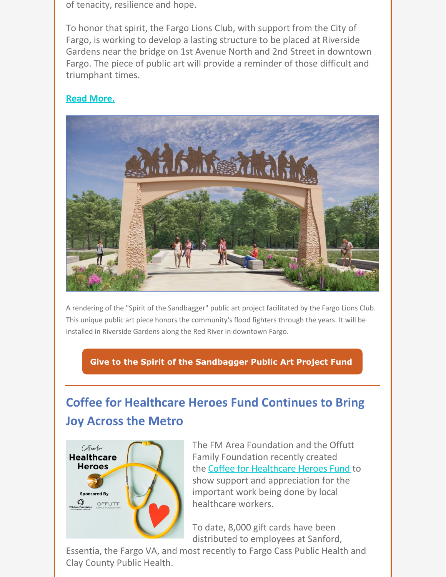of tenacity, resilience and hope.

To honor that spirit, the Fargo Lions Club, with support from the City of Fargo, is working to develop a lasting structure to be placed at Riverside Gardens near the bridge on 1st Avenue North and 2nd Street in downtown Fargo. The piece of public art will provide a reminder of those difficult and triumphant times.

#### **Read [More.](https://areafoundation.org/about-us/news/spirit-of-the-sandbagger-public-art-project-fund/)**



A rendering of the "Spirit of the Sandbagger" public art project facilitated by the Fargo Lions Club. This unique public art piece honors the community's flood fighters through the years. It will be installed in Riverside Gardens along the Red River in downtown Fargo.

**Give to the Spirit of the [Sandbagger](https://fargo.fcsuite.com/erp/donate/create?funit_id=2808) Public Art Project Fund**

# **Coffee for Healthcare Heroes Fund Continues to Bring Joy Across the Metro**



The FM Area Foundation and the Offutt Family Foundation recently created the Coffee for [Healthcare](https://www.areafoundation.org/about-us/news/fm-area-foundation-launches-coffee-for-healthcare-heroes-fund/) Heroes Fund to show support and appreciation for the important work being done by local healthcare workers.

To date, 8,000 gift cards have been distributed to employees at Sanford,

Essentia, the Fargo VA, and most recently to Fargo Cass Public Health and Clay County Public Health.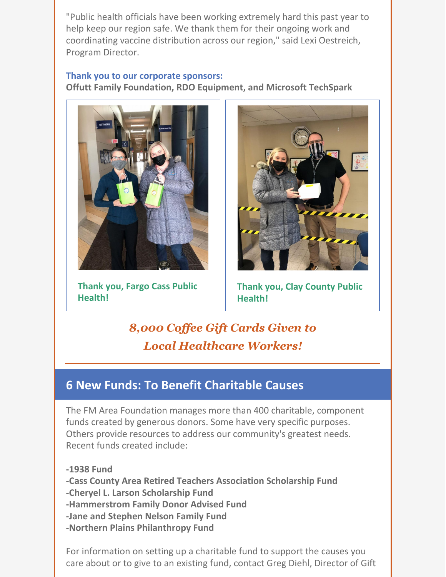"Public health officials have been working extremely hard this past year to help keep our region safe. We thank them for their ongoing work and coordinating vaccine distribution across our region," said Lexi Oestreich, Program Director.

### **Thank you to our corporate sponsors: Offutt Family Foundation, RDO Equipment, and Microsoft TechSpark**



**Thank you, Fargo Cass Public Health!**



**Thank you, Clay County Public Health!**

*8,000 Cof ee Gift Cards Given to Local Healthcare Workers!*

# **6 New Funds: To Benefit Charitable Causes**

The FM Area Foundation manages more than 400 charitable, component funds created by generous donors. Some have very specific purposes. Others provide resources to address our community's greatest needs. Recent funds created include:

**-1938 Fund**

**-Cass County Area Retired Teachers Association Scholarship Fund**

**-Cheryel L. Larson Scholarship Fund**

**-Hammerstrom Family Donor Advised Fund**

**-Jane and Stephen Nelson Family Fund**

**-Northern Plains Philanthropy Fund**

For information on setting up a charitable fund to support the causes you care about or to give to an existing fund, contact Greg Diehl, Director of Gift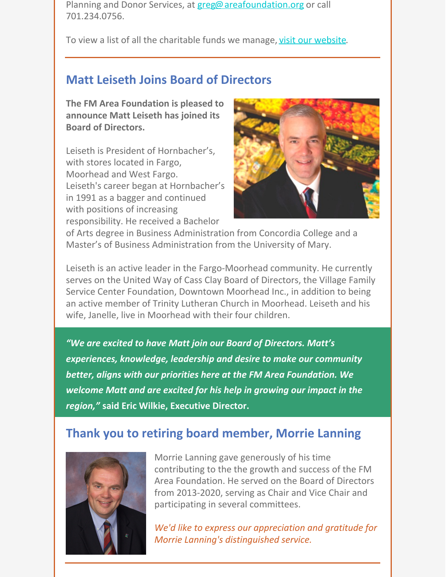Planning and Donor Services, at [greg@areafoundation.org](mailto:greg@areafoundation.org) or call 701.234.0756.

To view a list of all the charitable funds we manage, visit our [website](https://fargo.fcsuite.com/erp/donate).

# **Matt Leiseth Joins Board of Directors**

**The FM Area Foundation is pleased to announce Matt Leiseth has joined its Board of Directors.**

Leiseth is President of Hornbacher's, with stores located in Fargo, Moorhead and West Fargo. Leiseth's career began at Hornbacher's in 1991 as a bagger and continued with positions of increasing responsibility. He received a Bachelor



of Arts degree in Business Administration from Concordia College and a Master's of Business Administration from the University of Mary.

Leiseth is an active leader in the Fargo-Moorhead community. He currently serves on the United Way of Cass Clay Board of Directors, the Village Family Service Center Foundation, Downtown Moorhead Inc., in addition to being an active member of Trinity Lutheran Church in Moorhead. Leiseth and his wife, Janelle, live in Moorhead with their four children.

*"We are excited to have Matt join our Board of Directors. Matt's experiences, knowledge, leadership and desire to make our community better, aligns with our priorities here at the FM Area Foundation. We welcome Matt and are excited for his help in growing our impact in the region,"* **said Eric Wilkie, Executive Director.**

## **Thank you to retiring board member, Morrie Lanning**



Morrie Lanning gave generously of his time contributing to the the growth and success of the FM Area Foundation. He served on the Board of Directors from 2013-2020, serving as Chair and Vice Chair and participating in several committees.

*We'd like to express our appreciation and gratitude for Morrie Lanning's distinguished service.*